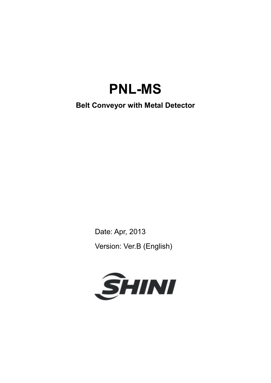# **PNL-MS**

**Belt Conveyor with Metal Detector** 

Date: Apr, 2013

Version: Ver.B (English)

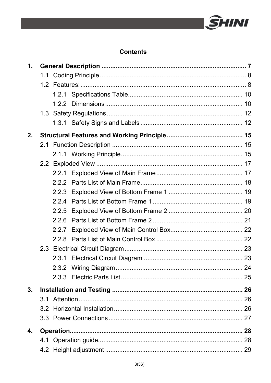

#### **Contents**

| $\mathbf 1$ . |  |  |  |  |  |  |
|---------------|--|--|--|--|--|--|
|               |  |  |  |  |  |  |
|               |  |  |  |  |  |  |
|               |  |  |  |  |  |  |
|               |  |  |  |  |  |  |
|               |  |  |  |  |  |  |
|               |  |  |  |  |  |  |
| 2.            |  |  |  |  |  |  |
|               |  |  |  |  |  |  |
|               |  |  |  |  |  |  |
|               |  |  |  |  |  |  |
|               |  |  |  |  |  |  |
|               |  |  |  |  |  |  |
|               |  |  |  |  |  |  |
|               |  |  |  |  |  |  |
|               |  |  |  |  |  |  |
|               |  |  |  |  |  |  |
|               |  |  |  |  |  |  |
|               |  |  |  |  |  |  |
|               |  |  |  |  |  |  |
|               |  |  |  |  |  |  |
|               |  |  |  |  |  |  |
|               |  |  |  |  |  |  |
| 3.            |  |  |  |  |  |  |
|               |  |  |  |  |  |  |
|               |  |  |  |  |  |  |
|               |  |  |  |  |  |  |
| 4.            |  |  |  |  |  |  |
|               |  |  |  |  |  |  |
|               |  |  |  |  |  |  |
|               |  |  |  |  |  |  |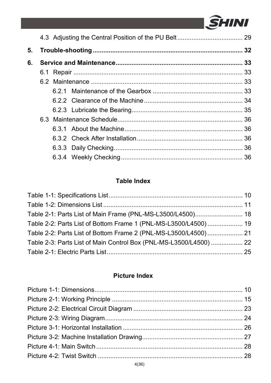

#### **Table Index**

| Table 2-1: Parts List of Main Frame (PNL-MS-L3500/L4500) 18        |  |
|--------------------------------------------------------------------|--|
| Table 2-2: Parts List of Bottom Frame 1 (PNL-MS-L3500/L4500) 19    |  |
| Table 2-2: Parts List of Bottom Frame 2 (PNL-MS-L3500/L4500) 21    |  |
| Table 2-3: Parts List of Main Control Box (PNL-MS-L3500/L4500)  22 |  |
|                                                                    |  |

#### **Picture Index**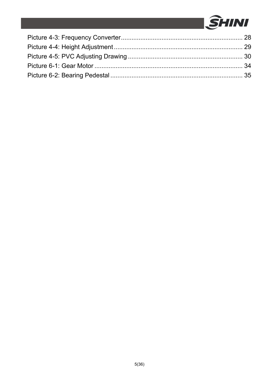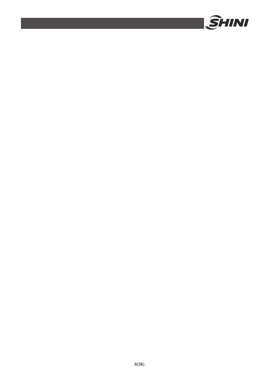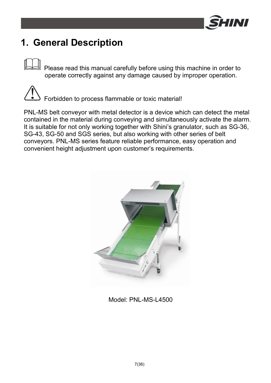

## **1. General Description**

Please read this manual carefully before using this machine in order to operate correctly against any damage caused by improper operation.

Forbidden to process flammable or toxic material!

PNL-MS belt conveyor with metal detector is a device which can detect the metal contained in the material during conveying and simultaneously activate the alarm. It is suitable for not only working together with Shini's granulator, such as SG-36, SG-43, SG-50 and SGS series, but also working with other series of belt conveyors. PNL-MS series feature reliable performance, easy operation and convenient height adjustment upon customer's requirements.



Model: PNL-MS-L4500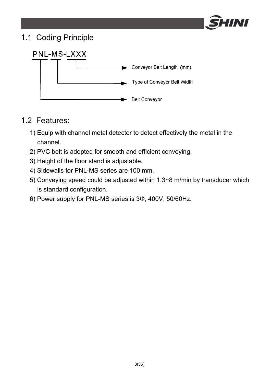

## 1.1 Coding Principle



### 1.2 Features:

- 1) Equip with channel metal detector to detect effectively the metal in the channel.
- 2) PVC belt is adopted for smooth and efficient conveying.
- 3) Height of the floor stand is adjustable.
- 4) Sidewalls for PNL-MS series are 100 mm.
- 5) Conveying speed could be adjusted within 1.3~8 m/min by transducer which is standard configuration.
- 6) Power supply for PNL-MS series is 3Φ, 400V, 50/60Hz.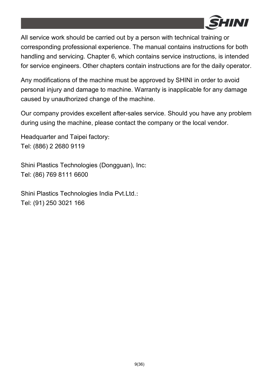

All service work should be carried out by a person with technical training or corresponding professional experience. The manual contains instructions for both handling and servicing. Chapter 6, which contains service instructions, is intended for service engineers. Other chapters contain instructions are for the daily operator.

Any modifications of the machine must be approved by SHINI in order to avoid personal injury and damage to machine. Warranty is inapplicable for any damage caused by unauthorized change of the machine.

Our company provides excellent after-sales service. Should you have any problem during using the machine, please contact the company or the local vendor.

Headquarter and Taipei factory: Tel: (886) 2 2680 9119

Shini Plastics Technologies (Dongguan), Inc: Tel: (86) 769 8111 6600

Shini Plastics Technologies India Pvt.Ltd.: Tel: (91) 250 3021 166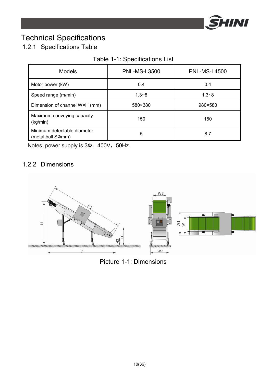

## Technical Specifications

#### 1.2.1 Specifications Table

| <b>Models</b>                                           | <b>PNL-MS-L3500</b> | <b>PNL-MS-L4500</b> |
|---------------------------------------------------------|---------------------|---------------------|
| Motor power (kW)                                        | 0.4                 | 0.4                 |
| Speed range (m/min)                                     | $1.3 - 8$           | $1.3 - 8$           |
| Dimension of channel W×H (mm)                           | 580×380             | 980×580             |
| Maximum conveying capacity<br>(kg/min)                  | 150                 | 150                 |
| Minimum detectable diameter<br>(metal ball S $\Phi$ mm) | 5                   | 8.7                 |

#### Table 1-1: Specifications List

Notes: power supply is 3Φ, 400V, 50Hz.

#### 1.2.2 Dimensions



Picture 1-1: Dimensions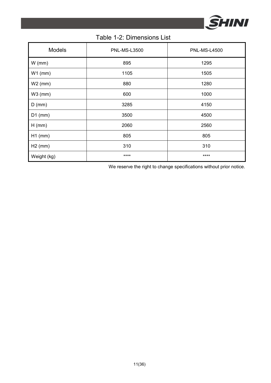

#### Table 1-2: Dimensions List

| Models      | <b>PNL-MS-L3500</b> | <b>PNL-MS-L4500</b> |  |  |
|-------------|---------------------|---------------------|--|--|
| $W$ (mm)    | 895                 | 1295                |  |  |
| $W1$ (mm)   | 1105                | 1505                |  |  |
| $W2$ (mm)   | 880                 | 1280                |  |  |
| $W3$ (mm)   | 600                 | 1000                |  |  |
| $D$ (mm)    | 3285                | 4150                |  |  |
| $D1$ (mm)   | 3500                | 4500                |  |  |
| $H$ (mm)    | 2060                | 2560                |  |  |
| $H1$ (mm)   | 805                 | 805                 |  |  |
| $H2$ (mm)   | 310                 | 310                 |  |  |
| Weight (kg) | $***$               | $***$               |  |  |

We reserve the right to change specifications without prior notice.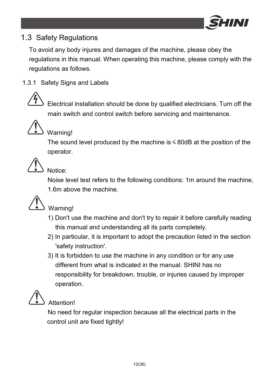

## 1.3 Safety Regulations

To avoid any body injures and damages of the machine, please obey the regulations in this manual. When operating this machine, please comply with the regulations as follows.

1.3.1 Safety Signs and Labels



Electrical installation should be done by qualified electricians. Turn off the main switch and control switch before servicing and maintenance.



## Warning!

The sound level produced by the machine is≤80dB at the position of the operator.



### Notice:

Noise level test refers to the following conditions: 1m around the machine, 1.6m above the machine.



## Warning!

- 1) Don't use the machine and don't try to repair it before carefully reading this manual and understanding all its parts completely.
- 2) In particular, it is important to adopt the precaution listed in the section 'safety instruction'.
- 3) It is forbidden to use the machine in any condition or for any use different from what is indicated in the manual. SHINI has no responsibility for breakdown, trouble, or injuries caused by improper operation.



#### **Attention!**

No need for regular inspection because all the electrical parts in the control unit are fixed tightly!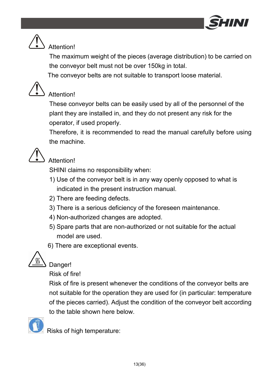

# Attention!

The maximum weight of the pieces (average distribution) to be carried on the conveyor belt must not be over 150kg in total.

The conveyor belts are not suitable to transport loose material.



### Attention!

These conveyor belts can be easily used by all of the personnel of the plant they are installed in, and they do not present any risk for the operator, if used properly.

Therefore, it is recommended to read the manual carefully before using the machine.



### Attention!

SHINI claims no responsibility when:

- 1) Use of the conveyor belt is in any way openly opposed to what is indicated in the present instruction manual.
- 2) There are feeding defects.
- 3) There is a serious deficiency of the foreseen maintenance.
- 4) Non-authorized changes are adopted.
- 5) Spare parts that are non-authorized or not suitable for the actual model are used.
- 6) There are exceptional events.



## Danger!

Risk of fire!

Risk of fire is present whenever the conditions of the conveyor belts are not suitable for the operation they are used for (in particular: temperature of the pieces carried). Adjust the condition of the conveyor belt according to the table shown here below.



Risks of high temperature: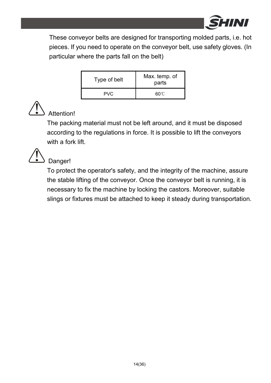

These conveyor belts are designed for transporting molded parts, i.e. hot pieces. If you need to operate on the conveyor belt, use safety gloves. (In particular where the parts fall on the belt)

| Type of belt | Max. temp. of<br>parts |  |
|--------------|------------------------|--|
| <b>PVC</b>   | 60 C                   |  |



## Attention!

The packing material must not be left around, and it must be disposed according to the regulations in force. It is possible to lift the conveyors with a fork lift.



#### Danger!

To protect the operator's safety, and the integrity of the machine, assure the stable lifting of the conveyor. Once the conveyor belt is running, it is necessary to fix the machine by locking the castors. Moreover, suitable slings or fixtures must be attached to keep it steady during transportation.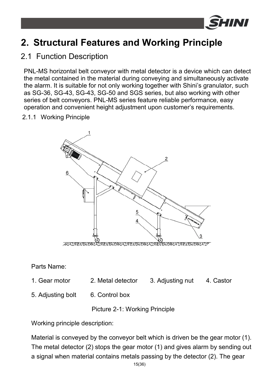

## **2. Structural Features and Working Principle**

## 2.1 Function Description

PNL-MS horizontal belt conveyor with metal detector is a device which can detect the metal contained in the material during conveying and simultaneously activate the alarm. It is suitable for not only working together with Shini's granulator, such as SG-36, SG-43, SG-43, SG-50 and SGS series, but also working with other series of belt conveyors. PNL-MS series feature reliable performance, easy operation and convenient height adjustment upon customer's requirements.

2.1.1 Working Principle



Parts Name:

- 
- 

1. Gear motor 2. Metal detector 3. Adjusting nut 4. Castor

5. Adjusting bolt 6. Control box

Picture 2-1: Working Principle

Working principle description:

Material is conveyed by the conveyor belt which is driven be the gear motor (1). The metal detector (2) stops the gear motor (1) and gives alarm by sending out a signal when material contains metals passing by the detector (2). The gear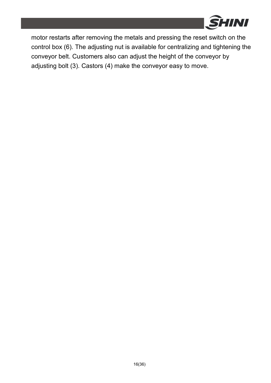

motor restarts after removing the metals and pressing the reset switch on the control box (6). The adjusting nut is available for centralizing and tightening the conveyor belt. Customers also can adjust the height of the conveyor by adjusting bolt (3). Castors (4) make the conveyor easy to move.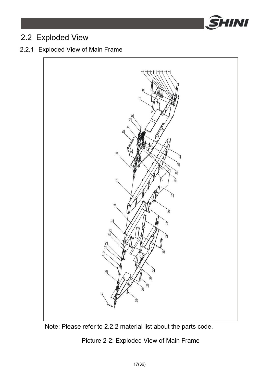

## 2.2 Exploded View

#### 2.2.1 Exploded View of Main Frame



Note: Please refer to 2.2.2 material list about the parts code.

Picture 2-2: Exploded View of Main Frame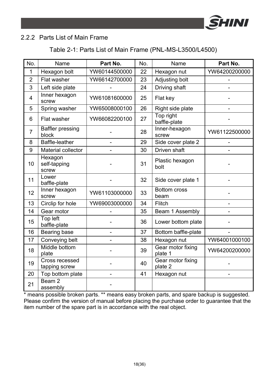

#### 2.2.2 Parts List of Main Frame

Table 2-1: Parts List of Main Frame (PNL-MS-L3500/L4500)

| No.              | Name                                   | Part No.       | No. | Name                                   | Part No.      |
|------------------|----------------------------------------|----------------|-----|----------------------------------------|---------------|
| 1                | Hexagon bolt                           | YW60144500000  | 22  | Hexagon nut                            | YW64200200000 |
| $\overline{2}$   | Flat washer                            | YW66142700000  | 23  | Adjusting bolt                         |               |
| 3                | Left side plate                        |                | 24  | Driving shaft                          |               |
| 4                | Inner hexagon<br>screw                 | YW61081600000  | 25  | Flat key                               |               |
| 5                | Spring washer                          | YW65008000100  | 26  | Right side plate                       |               |
| 6                | Flat washer                            | YW66082200100  | 27  | $\overline{Top}$ right<br>baffle-plate |               |
| $\overline{7}$   | <b>Baffler pressing</b><br>block       |                | 28  | Inner-hexagon<br>screw                 | YW61122500000 |
| 8                | Baffle-leather                         | $\overline{a}$ | 29  | Side cover plate 2                     |               |
| $\boldsymbol{9}$ | Material collector                     |                | 30  | Driven shaft                           |               |
| 10               | Hexagon<br>self-tapping<br>screw       |                | 31  | Plastic hexagon<br>bolt                |               |
| 11               | Lower<br>baffle-plate                  |                | 32  | Side cover plate 1                     |               |
| 12               | Inner hexagon<br>screw                 | YW61103000000  | 33  | <b>Bottom cross</b><br>beam            |               |
| 13               | Circlip for hole                       | YW69003000000  | 34  | Flitch                                 |               |
| 14               | Gear motor                             |                | 35  | Beam 1 Assembly                        |               |
| 15               | Top left<br>baffle-plate               |                | 36  | Lower bottom plate                     |               |
| 16               | Bearing base                           | $\overline{a}$ | 37  | Bottom baffle-plate                    |               |
| 17               | Conveying belt                         | $\overline{a}$ | 38  | Hexagon nut                            | YW64001000100 |
| 18               | Middle bottom<br>plate                 |                | 39  | Gear motor fixing<br>plate 1           | YW64200200000 |
| 19               | <b>Cross recessed</b><br>tapping screw |                | 40  | Gear motor fixing<br>plate 2           |               |
| 20               | Top bottom plate                       |                | 41  | Hexagon nut                            |               |
| 21               | Beam 2<br>assembly                     |                |     |                                        |               |

\* means possible broken parts. \*\* means easy broken parts, and spare backup is suggested. Please confirm the version of manual before placing the purchase order to guarantee that the item number of the spare part is in accordance with the real object.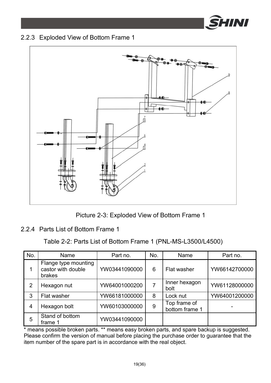

#### 2.2.3 Exploded View of Bottom Frame 1



Picture 2-3: Exploded View of Bottom Frame 1

#### 2.2.4 Parts List of Bottom Frame 1

Table 2-2: Parts List of Bottom Frame 1 (PNL-MS-L3500/L4500)

| No.            | Name                                                 | Part no.      | No. | Name                           | Part no.      |
|----------------|------------------------------------------------------|---------------|-----|--------------------------------|---------------|
|                | Flange type mounting<br>castor with double<br>brakes | YW03441090000 | 6   | Flat washer                    | YW66142700000 |
| $\overline{2}$ | Hexagon nut                                          | YW64001000200 |     | Inner hexagon<br>bolt          | YW61128000000 |
| 3              | Flat washer                                          | YW66181000000 | 8   | Lock nut                       | YW64001200000 |
| 4              | Hexagon bolt                                         | YW60103000000 | 9   | Top frame of<br>bottom frame 1 |               |
| 5              | Stand of bottom<br>frame 1                           | YW03441090000 |     |                                |               |

\* means possible broken parts. \*\* means easy broken parts, and spare backup is suggested. Please confirm the version of manual before placing the purchase order to guarantee that the item number of the spare part is in accordance with the real object.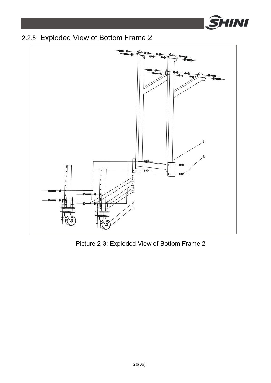

2.2.5 Exploded View of Bottom Frame 2



Picture 2-3: Exploded View of Bottom Frame 2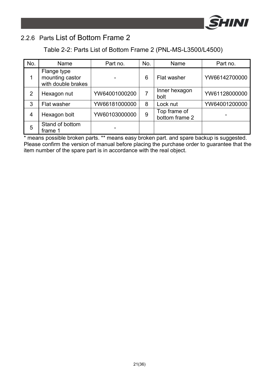

#### 2.2.6 Parts List of Bottom Frame 2

Table 2-2: Parts List of Bottom Frame 2 (PNL-MS-L3500/L4500)

| No. | Name                                                 | Part no.      | No. | Name                           | Part no.      |
|-----|------------------------------------------------------|---------------|-----|--------------------------------|---------------|
|     | Flange type<br>mounting castor<br>with double brakes |               | 6   | Flat washer                    | YW66142700000 |
| 2   | Hexagon nut                                          | YW64001000200 |     | Inner hexagon<br>bolt          | YW61128000000 |
| 3   | Flat washer                                          | YW66181000000 | 8   | Lock nut                       | YW64001200000 |
| 4   | Hexagon bolt                                         | YW60103000000 | 9   | Top frame of<br>bottom frame 2 |               |
| 5   | Stand of bottom<br>frame 1                           |               |     |                                |               |

\* means possible broken parts. \*\* means easy broken part. and spare backup is suggested. Please confirm the version of manual before placing the purchase order to guarantee that the item number of the spare part is in accordance with the real object.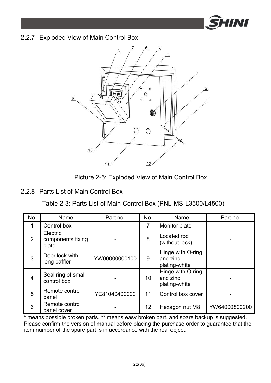

#### 2.2.7 Exploded View of Main Control Box



Picture 2-5: Exploded View of Main Control Box

#### 2.2.8 Parts List of Main Control Box

| No.            | Name                                   | Part no.      | No. | Name                                           | Part no.      |
|----------------|----------------------------------------|---------------|-----|------------------------------------------------|---------------|
| 1              | Control box                            |               | 7   | Monitor plate                                  |               |
| $\overline{2}$ | Electric<br>components fixing<br>plate |               | 8   | Located rod<br>(without lock)                  |               |
| 3              | Door lock with<br>long baffler         | YW00000000100 | 9   | Hinge with O-ring<br>and zinc<br>plating-white |               |
| $\overline{4}$ | Seal ring of small<br>control box      |               | 10  | Hinge with O-ring<br>and zinc<br>plating-white |               |
| 5              | Remote control<br>panel                | YE81040400000 | 11  | Control box cover                              |               |
| 6              | Remote control<br>panel cover          |               | 12  | Hexagon nut M8                                 | YW64000800200 |

\* means possible broken parts. \*\* means easy broken part. and spare backup is suggested. Please confirm the version of manual before placing the purchase order to guarantee that the item number of the spare part is in accordance with the real object.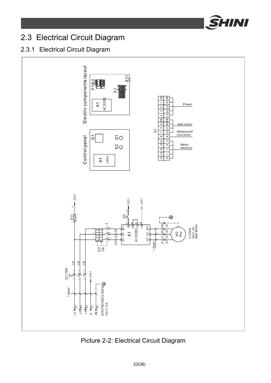

## 2.3 Electrical Circuit Diagram

#### 2.3.1 Electrical Circuit Diagram



#### Picture 2-2: Electrical Circuit Diagram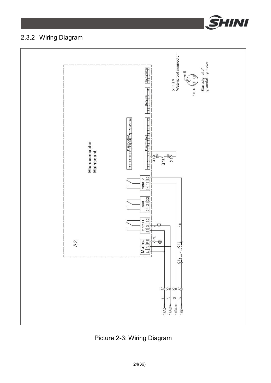

#### 2.3.2 Wiring Diagram



Picture 2-3: Wiring Diagram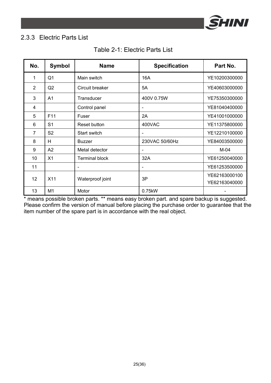

#### 2.3.3 Electric Parts List

| No.            | <b>Symbol</b>   | <b>Name</b>           | <b>Specification</b>     | Part No.      |
|----------------|-----------------|-----------------------|--------------------------|---------------|
| 1              | Q <sub>1</sub>  | Main switch           | 16A                      | YE10200300000 |
| 2              | Q2              | Circuit breaker       | 5A                       | YE40603000000 |
| 3              | A <sub>1</sub>  | Transducer            | 400V 0.75W               | YE75350300000 |
| 4              |                 | Control panel         |                          | YE81040400000 |
| 5              | F <sub>11</sub> | Fuser                 | 2A                       | YE41001000000 |
| 6              | S <sub>1</sub>  | Reset button          | 400VAC                   | YE11375800000 |
| $\overline{7}$ | S <sub>2</sub>  | Start switch          |                          | YE12210100000 |
| 8              | H               | <b>Buzzer</b>         | 230VAC 50/60Hz           | YE84003500000 |
| 9              | A2              | Metal detector        |                          | $M-04$        |
| 10             | X <sub>1</sub>  | <b>Terminal block</b> | 32A                      | YE61250040000 |
| 11             |                 | ۰                     | $\overline{\phantom{a}}$ | YE61253500000 |
| 12             | X <sub>11</sub> | Waterproof joint      | 3P                       | YE62163000100 |
|                |                 |                       |                          | YE62163040000 |
| 13             | M1              | Motor                 | 0.75kW                   |               |

#### Table 2-1: Electric Parts List

\* means possible broken parts. \*\* means easy broken part. and spare backup is suggested. Please confirm the version of manual before placing the purchase order to guarantee that the item number of the spare part is in accordance with the real object.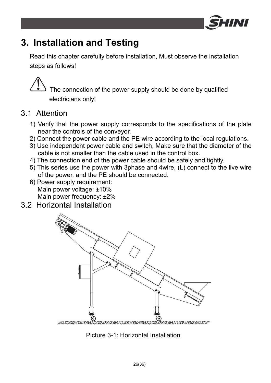

## **3. Installation and Testing**

Read this chapter carefully before installation, Must observe the installation steps as follows!

The connection of the power supply should be done by qualified electricians only!

#### 3.1 Attention

- 1) Verify that the power supply corresponds to the specifications of the plate near the controls of the conveyor.
- 2) Connect the power cable and the PE wire according to the local regulations.
- 3) Use independent power cable and switch, Make sure that the diameter of the cable is not smaller than the cable used in the control box.
- 4) The connection end of the power cable should be safely and tightly.
- 5) This series use the power with 3phase and 4wire, (L) connect to the live wire of the power, and the PE should be connected.
- 6) Power supply requirement: Main power voltage: ±10% Main power frequency: ±2%
- 3.2 Horizontal Installation



Picture 3-1: Horizontal Installation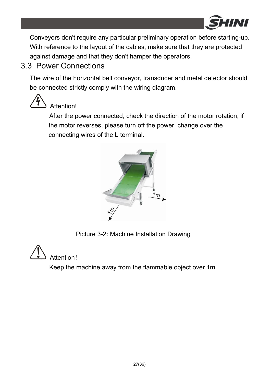

Conveyors don't require any particular preliminary operation before starting-up. With reference to the layout of the cables, make sure that they are protected against damage and that they don't hamper the operators.

### 3.3 Power Connections

The wire of the horizontal belt conveyor, transducer and metal detector should be connected strictly comply with the wiring diagram.



## Attention!

After the power connected, check the direction of the motor rotation, if the motor reverses, please turn off the power, change over the connecting wires of the L terminal.



Picture 3-2: Machine Installation Drawing



Attention!

Keep the machine away from the flammable object over 1m.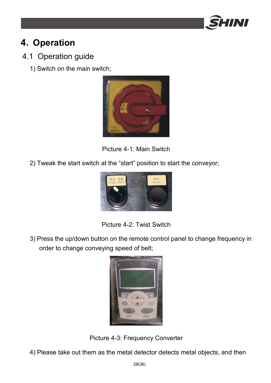

## **4. Operation**

## 4.1 Operation guide

1) Switch on the main switch;



Picture 4-1: Main Switch

2) Tweak the start switch at the "start" position to start the conveyor;



Picture 4-2: Twist Switch

3) Press the up/down button on the remote control panel to change frequency in order to change conveying speed of belt;



Picture 4-3: Frequency Converter

4) Please take out them as the metal detector detects metal objects, and then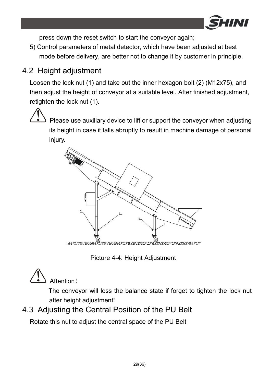

press down the reset switch to start the conveyor again;

5) Control parameters of metal detector, which have been adjusted at best mode before delivery, are better not to change it by customer in principle.

## 4.2 Height adjustment

Loosen the lock nut (1) and take out the inner hexagon bolt (2) (M12x75), and then adjust the height of conveyor at a suitable level. After finished adjustment, retighten the lock nut (1).



Please use auxiliary device to lift or support the conveyor when adjusting its height in case it falls abruptly to result in machine damage of personal injury.



Picture 4-4: Height Adjustment



The conveyor will loss the balance state if forget to tighten the lock nut after height adjustment!

## 4.3 Adjusting the Central Position of the PU Belt

Rotate this nut to adjust the central space of the PU Belt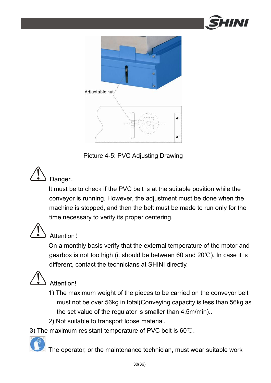



Picture 4-5: PVC Adjusting Drawing



Danger!

It must be to check if the PVC belt is at the suitable position while the conveyor is running. However, the adjustment must be done when the machine is stopped, and then the belt must be made to run only for the time necessary to verify its proper centering.



## Attention!

On a monthly basis verify that the external temperature of the motor and gearbox is not too high (it should be between 60 and 20℃). In case it is different, contact the technicians at SHINI directly.



## Attention!

- 1) The maximum weight of the pieces to be carried on the conveyor belt must not be over 56kg in total(Conveying capacity is less than 56kg as the set value of the regulator is smaller than 4.5m/min)..
- 2) Not suitable to transport loose material.

3) The maximum resistant temperature of PVC belt is 60℃.



The operator, or the maintenance technician, must wear suitable work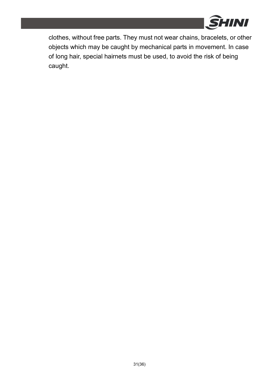

clothes, without free parts. They must not wear chains, bracelets, or other objects which may be caught by mechanical parts in movement. In case of long hair, special hairnets must be used, to avoid the risk of being caught.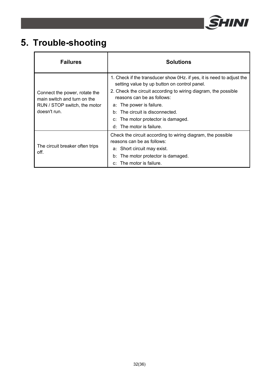

## **5. Trouble-shooting**

| <b>Failures</b>                                                                                              | <b>Solutions</b>                                                                                                                                                                                                                                                                                                                                                            |  |  |
|--------------------------------------------------------------------------------------------------------------|-----------------------------------------------------------------------------------------------------------------------------------------------------------------------------------------------------------------------------------------------------------------------------------------------------------------------------------------------------------------------------|--|--|
| Connect the power, rotate the<br>main switch and turn on the<br>RUN / STOP switch, the motor<br>doesn't run. | 1. Check if the transducer show 0Hz, if yes, it is need to adjust the<br>setting value by up button on control panel.<br>2. Check the circuit according to wiring diagram, the possible<br>reasons can be as follows:<br>a: The power is failure.<br>The circuit is disconnected.<br>b.<br>The motor protector is damaged.<br>$\mathbf{C}$ :<br>$d$ : The motor is failure. |  |  |
| The circuit breaker often trips<br>off.                                                                      | Check the circuit according to wiring diagram, the possible<br>reasons can be as follows:<br>a: Short circuit may exist.<br>The motor protector is damaged.<br>b:<br>The motor is failure.<br>C.                                                                                                                                                                            |  |  |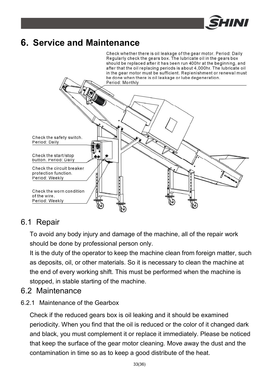

## **6. Service and Maintenance**



## 6.1 Repair

To avoid any body injury and damage of the machine, all of the repair work should be done by professional person only.

It is the duty of the operator to keep the machine clean from foreign matter, such as deposits, oil, or other materials. So it is necessary to clean the machine at the end of every working shift. This must be performed when the machine is stopped, in stable starting of the machine.

#### 6.2 Maintenance

#### 6.2.1 Maintenance of the Gearbox

Check if the reduced gears box is oil leaking and it should be examined periodicity. When you find that the oil is reduced or the color of it changed dark and black, you must complement it or replace it immediately. Please be noticed that keep the surface of the gear motor cleaning. Move away the dust and the contamination in time so as to keep a good distribute of the heat.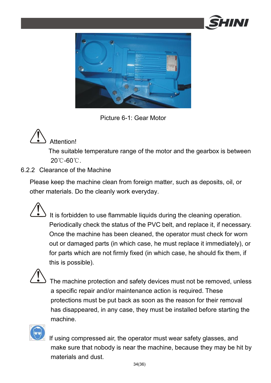



Picture 6-1: Gear Motor



The suitable temperature range of the motor and the gearbox is between 20℃-60℃.

#### 6.2.2 Clearance of the Machine

Please keep the machine clean from foreign matter, such as deposits, oil, or other materials. Do the cleanly work everyday.

It is forbidden to use flammable liquids during the cleaning operation. Periodically check the status of the PVC belt, and replace it, if necessary. Once the machine has been cleaned, the operator must check for worn out or damaged parts (in which case, he must replace it immediately), or for parts which are not firmly fixed (in which case, he should fix them, if this is possible).



The machine protection and safety devices must not be removed, unless a specific repair and/or maintenance action is required. These protections must be put back as soon as the reason for their removal has disappeared, in any case, they must be installed before starting the machine.



If using compressed air, the operator must wear safety glasses, and make sure that nobody is near the machine, because they may be hit by materials and dust.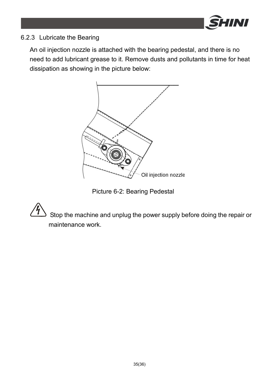

#### 6.2.3 Lubricate the Bearing

An oil injection nozzle is attached with the bearing pedestal, and there is no need to add lubricant grease to it. Remove dusts and pollutants in time for heat dissipation as showing in the picture below:



Picture 6-2: Bearing Pedestal

Stop the machine and unplug the power supply before doing the repair or maintenance work.